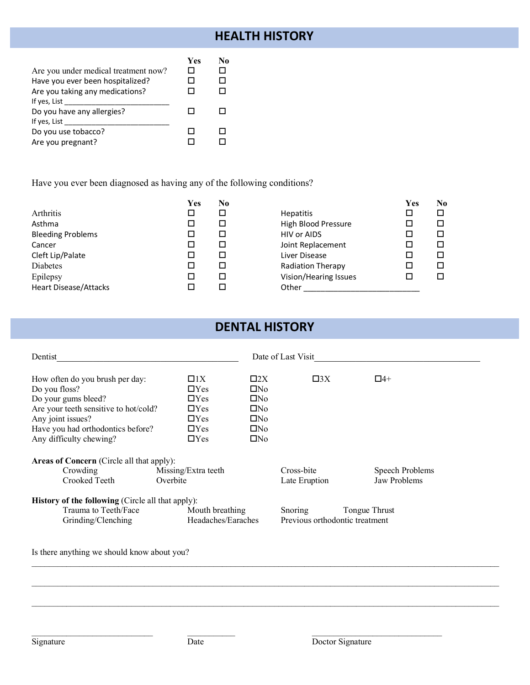## **HEALTH HISTORY**

|                                      | Yes | No |
|--------------------------------------|-----|----|
| Are you under medical treatment now? |     |    |
| Have you ever been hospitalized?     | П   |    |
| Are you taking any medications?      | ΙI  |    |
| If yes, List                         |     |    |
| Do you have any allergies?           |     |    |
| If yes, List                         |     |    |
| Do you use tobacco?                  | П   |    |
| Are you pregnant?                    |     |    |

Have you ever been diagnosed as having any of the following conditions?

|                          | Yes | No |                          | Yes | No. |
|--------------------------|-----|----|--------------------------|-----|-----|
| Arthritis                |     | □  | <b>Hepatitis</b>         |     |     |
| Asthma                   |     | □  | High Blood Pressure      |     |     |
| <b>Bleeding Problems</b> |     | □  | <b>HIV or AIDS</b>       |     |     |
| Cancer                   |     | □  | Joint Replacement        |     |     |
| Cleft Lip/Palate         |     | □  | Liver Disease            |     |     |
| Diabetes                 |     | □  | <b>Radiation Therapy</b> |     |     |
| Epilepsy                 |     | □  | Vision/Hearing Issues    |     |     |
| Heart Disease/Attacks    |     | п  | Other                    |     |     |

## **DENTAL HISTORY**

| Dentist                                                                                                                                                                                               |                                                                                               | Date of Last Visit                                                                                                           |                                                         |  |
|-------------------------------------------------------------------------------------------------------------------------------------------------------------------------------------------------------|-----------------------------------------------------------------------------------------------|------------------------------------------------------------------------------------------------------------------------------|---------------------------------------------------------|--|
| How often do you brush per day:<br>Do you floss?<br>Do your gums bleed?<br>Are your teeth sensitive to hot/cold?<br>Any joint issues?<br>Have you had orthodontics before?<br>Any difficulty chewing? | $\Box$ 1X<br>$\Box$ Yes<br>$\Box$ Yes<br>$\Box$ Yes<br>$\Box$ Yes<br>$\Box$ Yes<br>$\Box$ Yes | $\square$ 2X<br>$\square 3X$<br>$\square$ No<br>$\square$ No<br>$\square$ No<br>$\square$ No<br>$\square$ No<br>$\square$ No | $\Box$ 4+                                               |  |
| <b>Areas of Concern</b> (Circle all that apply):<br>Crowding<br>Crooked Teeth<br><b>History of the following</b> (Circle all that apply):<br>Trauma to Teeth/Face<br>Grinding/Clenching               | Missing/Extra teeth<br>Overbite<br>Mouth breathing<br>Headaches/Earaches                      | Cross-bite<br>Late Eruption<br>Snoring<br>Previous orthodontic treatment                                                     | Speech Problems<br><b>Jaw Problems</b><br>Tongue Thrust |  |

 $\mathcal{L}_\text{max} = \frac{1}{2} \sum_{i=1}^n \mathcal{L}_\text{max} = \frac{1}{2} \sum_{i=1}^n \mathcal{L}_\text{max} = \frac{1}{2} \sum_{i=1}^n \mathcal{L}_\text{max} = \frac{1}{2} \sum_{i=1}^n \mathcal{L}_\text{max} = \frac{1}{2} \sum_{i=1}^n \mathcal{L}_\text{max} = \frac{1}{2} \sum_{i=1}^n \mathcal{L}_\text{max} = \frac{1}{2} \sum_{i=1}^n \mathcal{L}_\text{max} = \frac{1}{2} \sum_{i=$ 

 $\mathcal{L}_\text{max}$ 

Is there anything we should know about you?